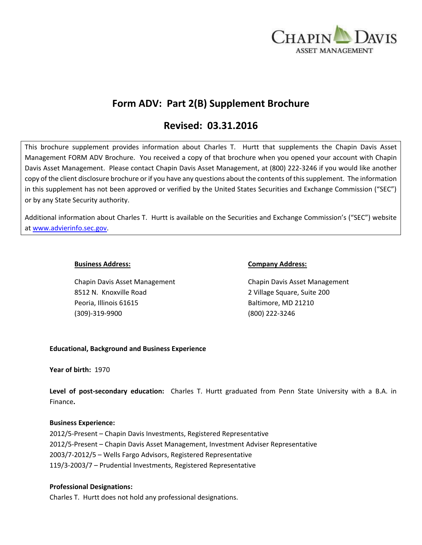

# **Form ADV: Part 2(B) Supplement Brochure**

# **Revised: 03.31.2016**

This brochure supplement provides information about Charles T. Hurtt that supplements the Chapin Davis Asset Management FORM ADV Brochure. You received a copy of that brochure when you opened your account with Chapin Davis Asset Management. Please contact Chapin Davis Asset Management, at (800) 222-3246 if you would like another copy of the client disclosure brochure or if you have any questions about the contents of this supplement. The information in this supplement has not been approved or verified by the United States Securities and Exchange Commission ("SEC") or by any State Security authority.

Additional information about Charles T. Hurtt is available on the Securities and Exchange Commission's ("SEC") website at [www.advierinfo.sec.gov.](http://www.advierinfo.sec.gov/)

8512 N. Knoxville Road 2 Village Square, Suite 200 Peoria, Illinois 61615 Baltimore, MD 21210 (309)-319-9900 (800) 222-3246

#### **Business Address: Company Address:**

Chapin Davis Asset Management Chapin Davis Asset Management

# **Educational, Background and Business Experience**

**Year of birth:** 1970

**Level of post-secondary education:** Charles T. Hurtt graduated from Penn State University with a B.A. in Finance**.**

# **Business Experience:**

2012/5-Present – Chapin Davis Investments, Registered Representative 2012/5-Present – Chapin Davis Asset Management, Investment Adviser Representative 2003/7-2012/5 – Wells Fargo Advisors, Registered Representative 119/3-2003/7 – Prudential Investments, Registered Representative

# **Professional Designations:**

Charles T. Hurtt does not hold any professional designations.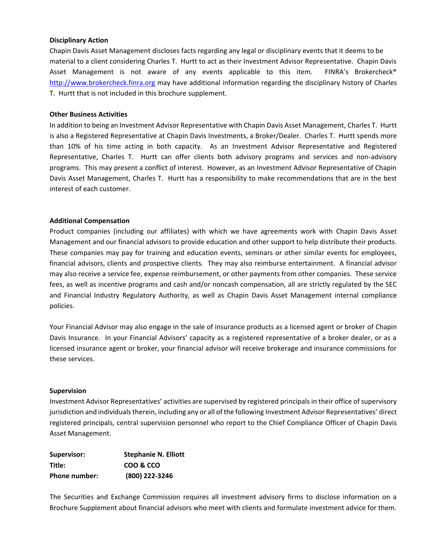#### **Disciplinary Action**

Chapin Davis Asset Management discloses facts regarding any legal or disciplinary events that it deems to be material to a client considering Charles T. Hurtt to act as their Investment Advisor Representative. Chapin Davis Asset Management is not aware of any events applicable to this item. FINRA's Brokercheck® [http://www.brokercheck.finra.org](http://www.brokercheck.finra.org/) may have additional information regarding the disciplinary history of Charles T. Hurtt that is not included in this brochure supplement.

#### **Other Business Activities**

In addition to being an Investment Advisor Representative with Chapin Davis Asset Management, Charles T. Hurtt is also a Registered Representative at Chapin Davis Investments, a Broker/Dealer. Charles T. Hurtt spends more than 10% of his time acting in both capacity. As an Investment Advisor Representative and Registered Representative, Charles T. Hurtt can offer clients both advisory programs and services and non-advisory programs. This may present a conflict of interest. However, as an Investment Advisor Representative of Chapin Davis Asset Management, Charles T. Hurtt has a responsibility to make recommendations that are in the best interest of each customer.

#### **Additional Compensation**

Product companies (including our affiliates) with which we have agreements work with Chapin Davis Asset Management and our financial advisors to provide education and other support to help distribute their products. These companies may pay for training and education events, seminars or other similar events for employees, financial advisors, clients and prospective clients. They may also reimburse entertainment. A financial advisor may also receive a service fee, expense reimbursement, or other payments from other companies. These service fees, as well as incentive programs and cash and/or noncash compensation, all are strictly regulated by the SEC and Financial Industry Regulatory Authority, as well as Chapin Davis Asset Management internal compliance policies.

Your Financial Advisor may also engage in the sale of insurance products as a licensed agent or broker of Chapin Davis Insurance. In your Financial Advisors' capacity as a registered representative of a broker dealer, or as a licensed insurance agent or broker, your financial advisor will receive brokerage and insurance commissions for these services.

### **Supervision**

Investment Advisor Representatives' activities are supervised by registered principals in their office of supervisory jurisdiction and individuals therein, including any or all of the following Investment Advisor Representatives' direct registered principals, central supervision personnel who report to the Chief Compliance Officer of Chapin Davis Asset Management.

| Supervisor:          | <b>Stephanie N. Elliott</b> |
|----------------------|-----------------------------|
| Title:               | COO & CCO                   |
| <b>Phone number:</b> | (800) 222-3246              |

The Securities and Exchange Commission requires all investment advisory firms to disclose information on a Brochure Supplement about financial advisors who meet with clients and formulate investment advice for them.